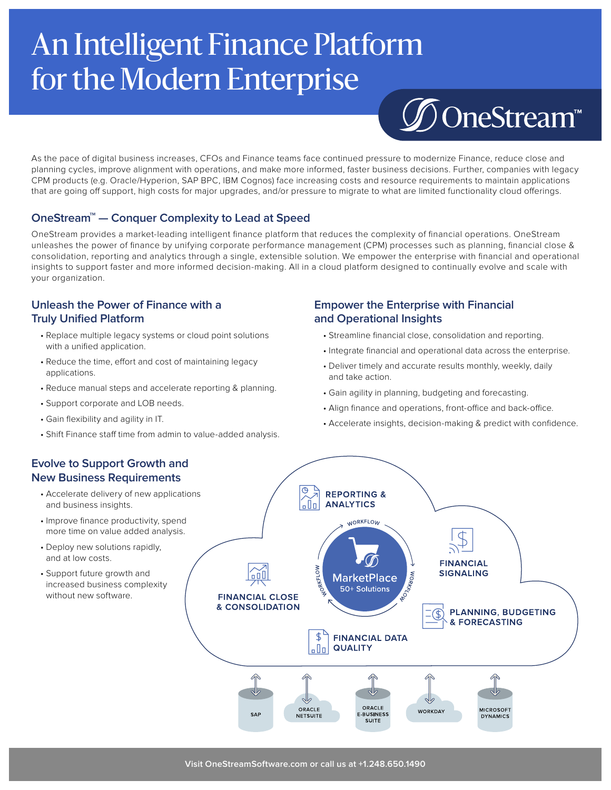# An Intelligent Finance Platform for the Modern Enterprise



As the pace of digital business increases, CFOs and Finance teams face continued pressure to modernize Finance, reduce close and planning cycles, improve alignment with operations, and make more informed, faster business decisions. Further, companies with legacy CPM products (e.g. Oracle/Hyperion, SAP BPC, IBM Cognos) face increasing costs and resource requirements to maintain applications that are going off support, high costs for major upgrades, and/or pressure to migrate to what are limited functionality cloud offerings.

### **OneStream<sup>™</sup> — Conquer Complexity to Lead at Speed**

OneStream provides a market-leading intelligent finance platform that reduces the complexity of financial operations. OneStream unleashes the power of finance by unifying corporate performance management (CPM) processes such as planning, financial close & consolidation, reporting and analytics through a single, extensible solution. We empower the enterprise with financial and operational insights to support faster and more informed decision-making. All in a cloud platform designed to continually evolve and scale with your organization.

### **Unleash the Power of Finance with a Truly Unified Platform**

- Replace multiple legacy systems or cloud point solutions with a unified application.
- Reduce the time, effort and cost of maintaining legacy applications.
- Reduce manual steps and accelerate reporting & planning.
- Support corporate and LOB needs.
- Gain flexibility and agility in IT.
- Shift Finance staff time from admin to value-added analysis.

# **Empower the Enterprise with Financial and Operational Insights**

- Streamline financial close, consolidation and reporting.
- Integrate financial and operational data across the enterprise.
- Deliver timely and accurate results monthly, weekly, daily and take action.
- Gain agility in planning, budgeting and forecasting.
- Align finance and operations, front-office and back-office.
- Accelerate insights, decision-making & predict with confidence.